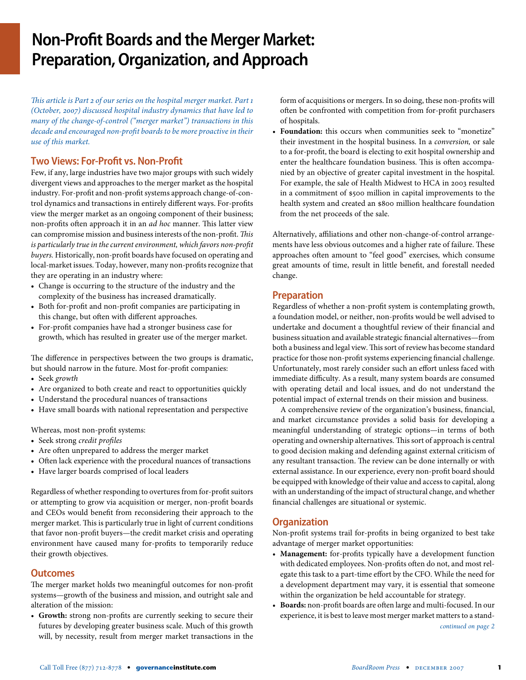# **Non-Profit Boards and the Merger Market: Preparation, Organization, and Approach**

*This article is Part 2 of our series on the hospital merger market. Part 1 (October, 2007) discussed hospital industry dynamics that have led to many of the change-of-control ("merger market") transactions in this decade and encouraged non-profit boards to be more proactive in their use of this market.*

# **Two Views: For-Profit vs. Non-Profit**

Few, if any, large industries have two major groups with such widely divergent views and approaches to the merger market as the hospital industry. For-profit and non-profit systems approach change-of-control dynamics and transactions in entirely different ways. For-profits view the merger market as an ongoing component of their business; non-profits often approach it in an *ad hoc* manner. This latter view can compromise mission and business interests of the non-profit. *This is particularly true in the current environment, which favors non-profit buyers.* Historically, non-profit boards have focused on operating and local-market issues. Today, however, many non-profits recognize that they are operating in an industry where:

- **•** Change is occurring to the structure of the industry and the complexity of the business has increased dramatically.
- **•** Both for-profit and non-profit companies are participating in this change, but often with different approaches.
- **•** For-profit companies have had a stronger business case for growth, which has resulted in greater use of the merger market.

The difference in perspectives between the two groups is dramatic, but should narrow in the future. Most for-profit companies:

- **•** Seek *growth*
- **•** Are organized to both create and react to opportunities quickly
- **•** Understand the procedural nuances of transactions
- **•** Have small boards with national representation and perspective

Whereas, most non-profit systems:

- **•** Seek strong *credit profiles*
- **•** Are often unprepared to address the merger market
- **•** Often lack experience with the procedural nuances of transactions
- **•** Have larger boards comprised of local leaders

Regardless of whether responding to overtures from for-profit suitors or attempting to grow via acquisition or merger, non-profit boards and CEOs would benefit from reconsidering their approach to the merger market. This is particularly true in light of current conditions that favor non-profit buyers—the credit market crisis and operating environment have caused many for-profits to temporarily reduce their growth objectives.

# **Outcomes**

The merger market holds two meaningful outcomes for non-profit systems—growth of the business and mission, and outright sale and alteration of the mission:

• **Growth:** strong non-profits are currently seeking to secure their futures by developing greater business scale. Much of this growth will, by necessity, result from merger market transactions in the

form of acquisitions or mergers. In so doing, these non-profits will often be confronted with competition from for-profit purchasers of hospitals.

• **Foundation:** this occurs when communities seek to "monetize" their investment in the hospital business. In a *conversion,* or sale to a for-profit, the board is electing to exit hospital ownership and enter the healthcare foundation business. This is often accompanied by an objective of greater capital investment in the hospital. For example, the sale of Health Midwest to HCA in 2003 resulted in a commitment of \$500 million in capital improvements to the health system and created an \$800 million healthcare foundation from the net proceeds of the sale.

Alternatively, affiliations and other non-change-of-control arrangements have less obvious outcomes and a higher rate of failure. These approaches often amount to "feel good" exercises, which consume great amounts of time, result in little benefit, and forestall needed change.

#### **Preparation**

Regardless of whether a non-profit system is contemplating growth, a foundation model, or neither, non-profits would be well advised to undertake and document a thoughtful review of their financial and business situation and available strategic financial alternatives—from both a business and legal view. This sort of review has become standard practice for those non-profit systems experiencing financial challenge. Unfortunately, most rarely consider such an effort unless faced with immediate difficulty. As a result, many system boards are consumed with operating detail and local issues, and do not understand the potential impact of external trends on their mission and business.

A comprehensive review of the organization's business, financial, and market circumstance provides a solid basis for developing a meaningful understanding of strategic options—in terms of both operating and ownership alternatives. This sort of approach is central to good decision making and defending against external criticism of any resultant transaction. The review can be done internally or with external assistance. In our experience, every non-profit board should be equipped with knowledge of their value and access to capital, along with an understanding of the impact of structural change, and whether financial challenges are situational or systemic.

# **Organization**

Non-profit systems trail for-profits in being organized to best take advantage of merger market opportunities:

- **Management:** for-profits typically have a development function with dedicated employees. Non-profits often do not, and most relegate this task to a part-time effort by the CFO. While the need for a development department may vary, it is essential that someone within the organization be held accountable for strategy.
- **Boards:** non-profit boards are often large and multi-focused. In our experience, it is best to leave most merger market matters to a stand*continued on page 2*